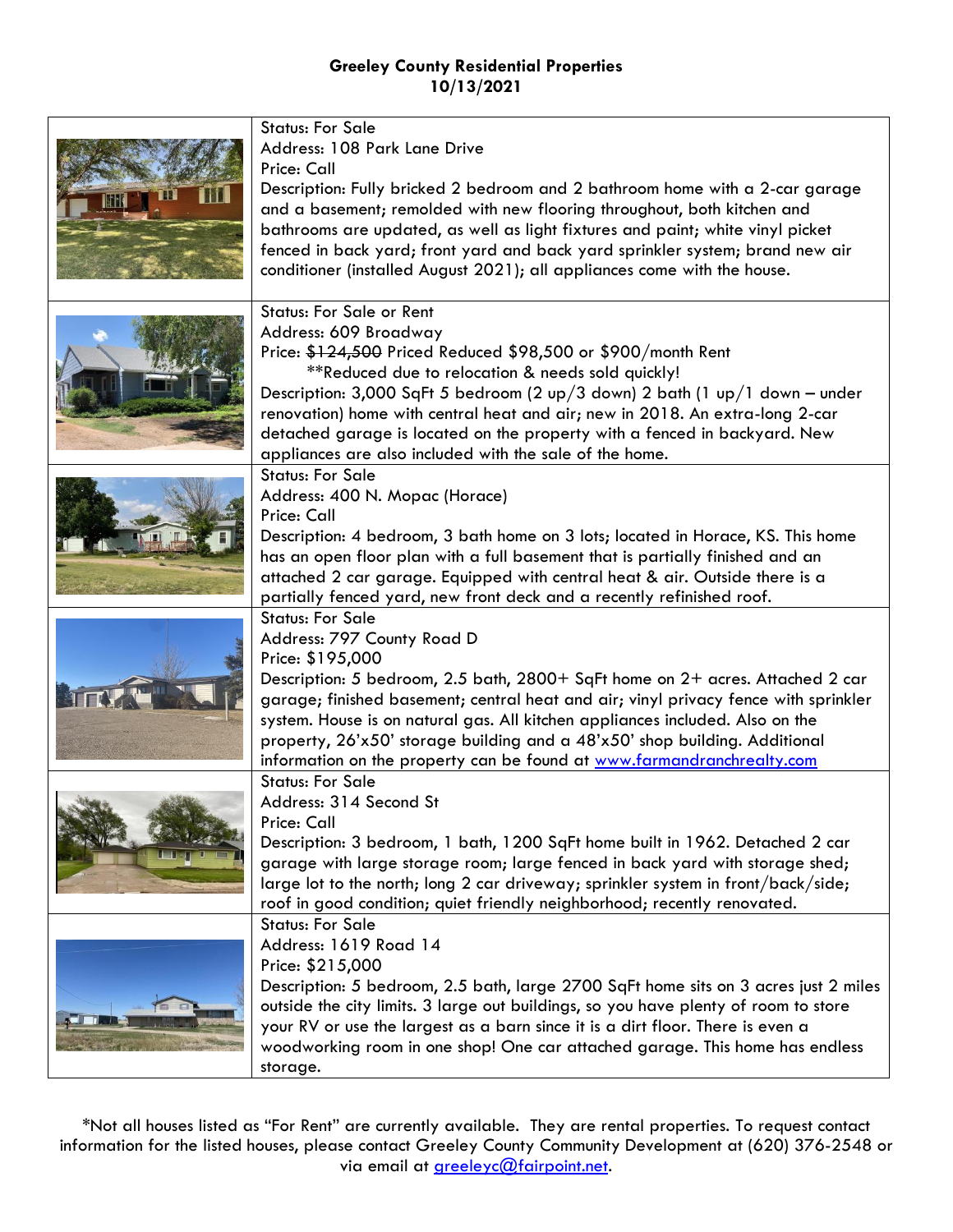|  | <b>Status: For Sale</b>                                                                                                                                         |
|--|-----------------------------------------------------------------------------------------------------------------------------------------------------------------|
|  | Address: 108 Park Lane Drive                                                                                                                                    |
|  | Price: Call                                                                                                                                                     |
|  | Description: Fully bricked 2 bedroom and 2 bathroom home with a 2-car garage                                                                                    |
|  | and a basement; remolded with new flooring throughout, both kitchen and                                                                                         |
|  | bathrooms are updated, as well as light fixtures and paint; white vinyl picket<br>fenced in back yard; front yard and back yard sprinkler system; brand new air |
|  | conditioner (installed August 2021); all appliances come with the house.                                                                                        |
|  |                                                                                                                                                                 |
|  | <b>Status: For Sale or Rent</b>                                                                                                                                 |
|  | Address: 609 Broadway                                                                                                                                           |
|  | Price: \$124,500 Priced Reduced \$98,500 or \$900/month Rent                                                                                                    |
|  | **Reduced due to relocation & needs sold quickly!                                                                                                               |
|  | Description: 3,000 SqFt 5 bedroom (2 up/3 down) 2 bath (1 up/1 down – under                                                                                     |
|  | renovation) home with central heat and air; new in 2018. An extra-long 2-car                                                                                    |
|  | detached garage is located on the property with a fenced in backyard. New<br>appliances are also included with the sale of the home.                            |
|  | <b>Status: For Sale</b>                                                                                                                                         |
|  | Address: 400 N. Mopac (Horace)                                                                                                                                  |
|  | Price: Call                                                                                                                                                     |
|  | Description: 4 bedroom, 3 bath home on 3 lots; located in Horace, KS. This home                                                                                 |
|  | has an open floor plan with a full basement that is partially finished and an                                                                                   |
|  | attached 2 car garage. Equipped with central heat & air. Outside there is a                                                                                     |
|  | partially fenced yard, new front deck and a recently refinished roof.                                                                                           |
|  | <b>Status: For Sale</b><br>Address: 797 County Road D                                                                                                           |
|  | Price: \$195,000                                                                                                                                                |
|  | Description: 5 bedroom, 2.5 bath, 2800+ SqFt home on 2+ acres. Attached 2 car                                                                                   |
|  | garage; finished basement; central heat and air; vinyl privacy fence with sprinkler                                                                             |
|  | system. House is on natural gas. All kitchen appliances included. Also on the                                                                                   |
|  | property, 26'x50' storage building and a 48'x50' shop building. Additional                                                                                      |
|  | information on the property can be found at www.farmandranchrealty.com                                                                                          |
|  | <b>Status: For Sale</b>                                                                                                                                         |
|  | Address: 314 Second St                                                                                                                                          |
|  | Price: Call<br>Description: 3 bedroom, 1 bath, 1200 SqFt home built in 1962. Detached 2 car                                                                     |
|  | garage with large storage room; large fenced in back yard with storage shed;                                                                                    |
|  | large lot to the north; long 2 car driveway; sprinkler system in front/back/side;                                                                               |
|  | roof in good condition; quiet friendly neighborhood; recently renovated.                                                                                        |
|  | <b>Status: For Sale</b>                                                                                                                                         |
|  | Address: 1619 Road 14                                                                                                                                           |
|  | Price: \$215,000                                                                                                                                                |
|  | Description: 5 bedroom, 2.5 bath, large 2700 SqFt home sits on 3 acres just 2 miles                                                                             |
|  | outside the city limits. 3 large out buildings, so you have plenty of room to store                                                                             |
|  | your RV or use the largest as a barn since it is a dirt floor. There is even a<br>woodworking room in one shop! One car attached garage. This home has endless  |
|  | storage.                                                                                                                                                        |
|  |                                                                                                                                                                 |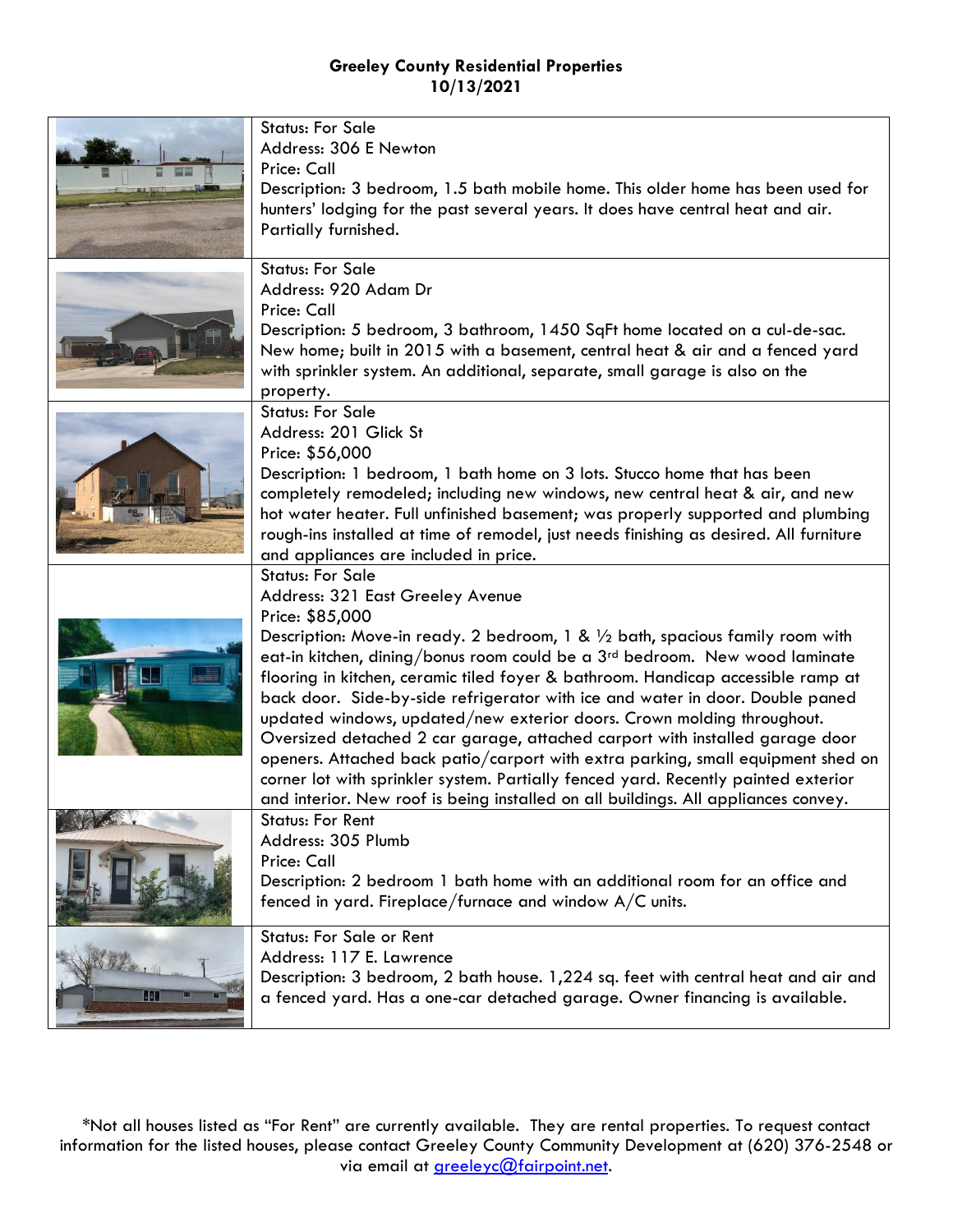|             | <b>Status: For Sale</b>                                                                                                                                                |
|-------------|------------------------------------------------------------------------------------------------------------------------------------------------------------------------|
|             | Address: 306 E Newton                                                                                                                                                  |
|             | Price: Call                                                                                                                                                            |
|             | Description: 3 bedroom, 1.5 bath mobile home. This older home has been used for                                                                                        |
|             | hunters' lodging for the past several years. It does have central heat and air.                                                                                        |
|             | Partially furnished.                                                                                                                                                   |
|             | <b>Status: For Sale</b>                                                                                                                                                |
|             | Address: 920 Adam Dr                                                                                                                                                   |
|             | Price: Call                                                                                                                                                            |
|             | Description: 5 bedroom, 3 bathroom, 1450 SqFt home located on a cul-de-sac.                                                                                            |
|             | New home; built in 2015 with a basement, central heat & air and a fenced yard                                                                                          |
|             | with sprinkler system. An additional, separate, small garage is also on the                                                                                            |
|             | property.<br><b>Status: For Sale</b>                                                                                                                                   |
|             | Address: 201 Glick St                                                                                                                                                  |
|             | Price: \$56,000                                                                                                                                                        |
|             | Description: 1 bedroom, 1 bath home on 3 lots. Stucco home that has been                                                                                               |
|             | completely remodeled; including new windows, new central heat & air, and new                                                                                           |
|             | hot water heater. Full unfinished basement; was properly supported and plumbing                                                                                        |
|             | rough-ins installed at time of remodel, just needs finishing as desired. All furniture                                                                                 |
|             | and appliances are included in price.                                                                                                                                  |
|             | <b>Status: For Sale</b>                                                                                                                                                |
|             |                                                                                                                                                                        |
|             | Address: 321 East Greeley Avenue                                                                                                                                       |
|             | Price: \$85,000                                                                                                                                                        |
|             | Description: Move-in ready. 2 bedroom, 1 & $\frac{1}{2}$ bath, spacious family room with                                                                               |
|             | eat-in kitchen, dining/bonus room could be a $3rd$ bedroom. New wood laminate                                                                                          |
|             | flooring in kitchen, ceramic tiled foyer & bathroom. Handicap accessible ramp at                                                                                       |
|             | back door. Side-by-side refrigerator with ice and water in door. Double paned                                                                                          |
|             | updated windows, updated/new exterior doors. Crown molding throughout.                                                                                                 |
|             | Oversized detached 2 car garage, attached carport with installed garage door                                                                                           |
|             | openers. Attached back patio/carport with extra parking, small equipment shed on<br>corner lot with sprinkler system. Partially fenced yard. Recently painted exterior |
|             | and interior. New roof is being installed on all buildings. All appliances convey.                                                                                     |
|             | <b>Status: For Rent</b>                                                                                                                                                |
|             | Address: 305 Plumb                                                                                                                                                     |
|             | Price: Call                                                                                                                                                            |
|             | Description: 2 bedroom 1 bath home with an additional room for an office and                                                                                           |
|             | fenced in yard. Fireplace/furnace and window A/C units.                                                                                                                |
|             | Status: For Sale or Rent                                                                                                                                               |
|             | Address: 117 E. Lawrence                                                                                                                                               |
| Fri V<br>44 | Description: 3 bedroom, 2 bath house. 1,224 sq. feet with central heat and air and<br>a fenced yard. Has a one-car detached garage. Owner financing is available.      |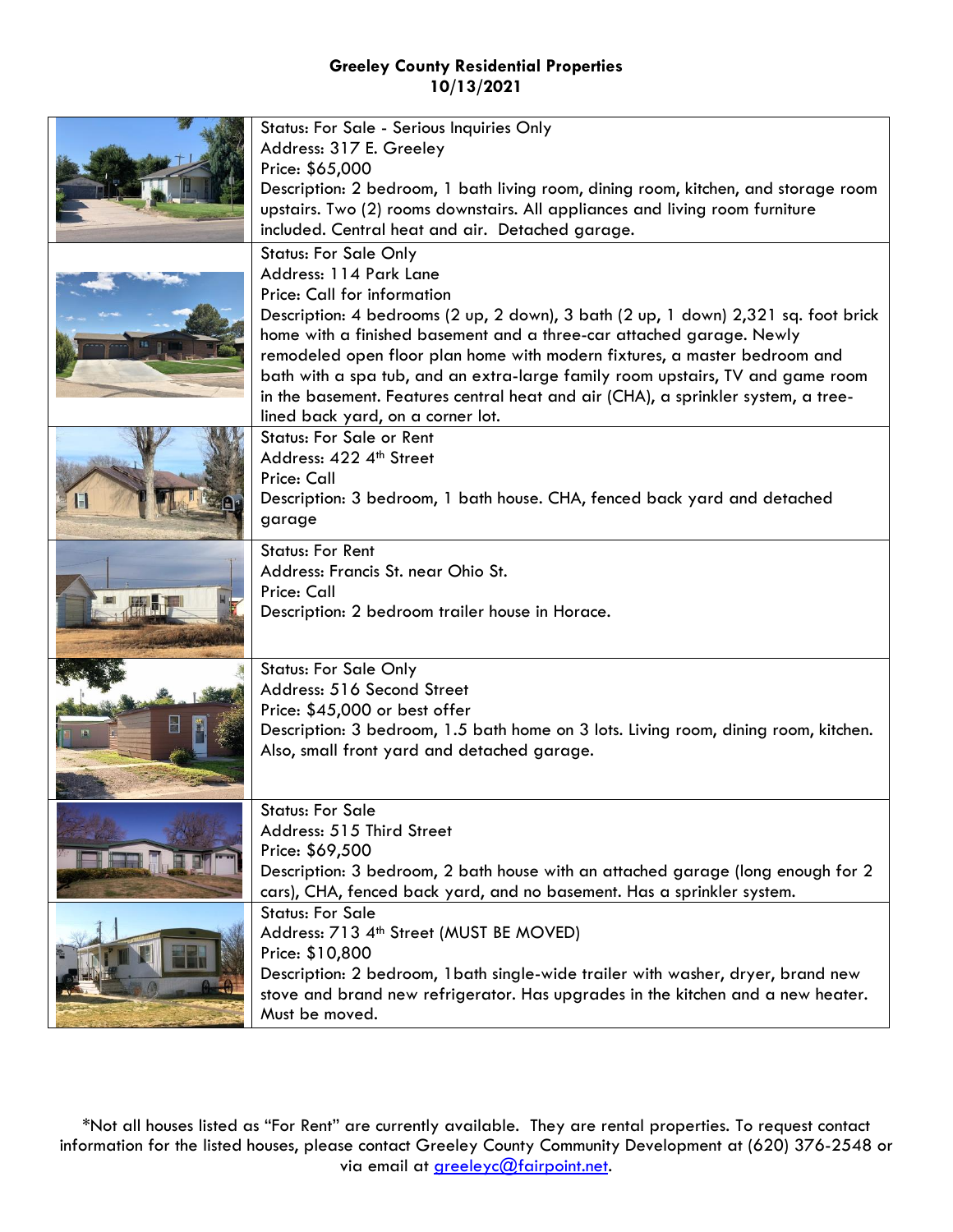| Status: For Sale - Serious Inquiries Only<br>Address: 317 E. Greeley                                                                                                |
|---------------------------------------------------------------------------------------------------------------------------------------------------------------------|
| Price: \$65,000<br>Description: 2 bedroom, 1 bath living room, dining room, kitchen, and storage room                                                               |
| upstairs. Two (2) rooms downstairs. All appliances and living room furniture                                                                                        |
| included. Central heat and air. Detached garage.                                                                                                                    |
| <b>Status: For Sale Only</b><br>Address: 114 Park Lane                                                                                                              |
| Price: Call for information                                                                                                                                         |
| Description: 4 bedrooms (2 up, 2 down), 3 bath (2 up, 1 down) 2,321 sq. foot brick                                                                                  |
| home with a finished basement and a three-car attached garage. Newly<br>remodeled open floor plan home with modern fixtures, a master bedroom and                   |
| bath with a spa tub, and an extra-large family room upstairs, TV and game room                                                                                      |
| in the basement. Features central heat and air (CHA), a sprinkler system, a tree-                                                                                   |
| lined back yard, on a corner lot.<br><b>Status: For Sale or Rent</b>                                                                                                |
| Address: 422 4th Street                                                                                                                                             |
| Price: Call                                                                                                                                                         |
| Description: 3 bedroom, 1 bath house. CHA, fenced back yard and detached<br>garage                                                                                  |
| <b>Status: For Rent</b>                                                                                                                                             |
| Address: Francis St. near Ohio St.                                                                                                                                  |
| Price: Call                                                                                                                                                         |
| Description: 2 bedroom trailer house in Horace.                                                                                                                     |
|                                                                                                                                                                     |
| <b>Status: For Sale Only</b><br>Address: 516 Second Street                                                                                                          |
| Price: \$45,000 or best offer                                                                                                                                       |
| Description: 3 bedroom, 1.5 bath home on 3 lots. Living room, dining room, kitchen.                                                                                 |
| Also, small front yard and detached garage.                                                                                                                         |
|                                                                                                                                                                     |
| <b>Status: For Sale</b><br>Address: 515 Third Street                                                                                                                |
| Price: \$69,500                                                                                                                                                     |
| Description: 3 bedroom, 2 bath house with an attached garage (long enough for 2                                                                                     |
| cars), CHA, fenced back yard, and no basement. Has a sprinkler system.<br><b>Status: For Sale</b>                                                                   |
| Address: 713 4 <sup>th</sup> Street (MUST BE MOVED)                                                                                                                 |
| Price: \$10,800                                                                                                                                                     |
| Description: 2 bedroom, 1 bath single-wide trailer with washer, dryer, brand new<br>stove and brand new refrigerator. Has upgrades in the kitchen and a new heater. |
| Must be moved.                                                                                                                                                      |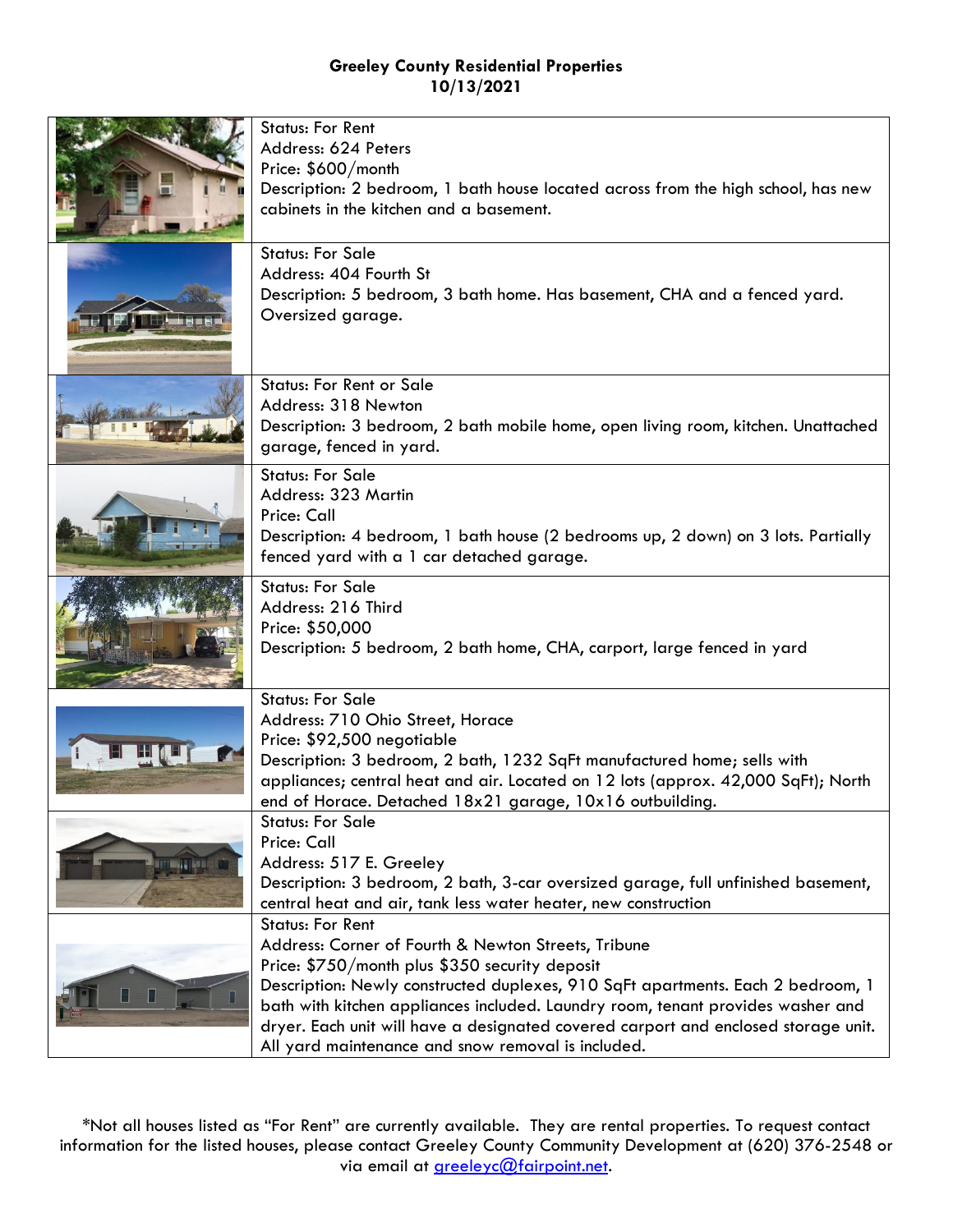|                      | <b>Status: For Rent</b><br>Address: 624 Peters<br>Price: \$600/month<br>Description: 2 bedroom, 1 bath house located across from the high school, has new<br>cabinets in the kitchen and a basement.                                                                                                                                                                                                                                               |
|----------------------|----------------------------------------------------------------------------------------------------------------------------------------------------------------------------------------------------------------------------------------------------------------------------------------------------------------------------------------------------------------------------------------------------------------------------------------------------|
|                      | <b>Status: For Sale</b><br>Address: 404 Fourth St<br>Description: 5 bedroom, 3 bath home. Has basement, CHA and a fenced yard.<br>Oversized garage.                                                                                                                                                                                                                                                                                                |
|                      | <b>Status: For Rent or Sale</b><br>Address: 318 Newton<br>Description: 3 bedroom, 2 bath mobile home, open living room, kitchen. Unattached<br>garage, fenced in yard.                                                                                                                                                                                                                                                                             |
|                      | <b>Status: For Sale</b><br>Address: 323 Martin<br>Price: Call<br>Description: 4 bedroom, 1 bath house (2 bedrooms up, 2 down) on 3 lots. Partially<br>fenced yard with a 1 car detached garage.                                                                                                                                                                                                                                                    |
|                      | <b>Status: For Sale</b><br>Address: 216 Third<br>Price: \$50,000<br>Description: 5 bedroom, 2 bath home, CHA, carport, large fenced in yard                                                                                                                                                                                                                                                                                                        |
|                      | <b>Status: For Sale</b><br>Address: 710 Ohio Street, Horace<br>Price: \$92,500 negotiable<br>Description: 3 bedroom, 2 bath, 1232 SqFt manufactured home; sells with<br>appliances; central heat and air. Located on 12 lots (approx. 42,000 SqFt); North<br>end of Horace. Detached 18x21 garage, 10x16 outbuilding.                                                                                                                              |
| <b>MITTEN LETANG</b> | <b>Status: For Sale</b><br>Price: Call<br>Address: 517 E. Greeley<br>Description: 3 bedroom, 2 bath, 3-car oversized garage, full unfinished basement,<br>central heat and air, tank less water heater, new construction                                                                                                                                                                                                                           |
|                      | <b>Status: For Rent</b><br>Address: Corner of Fourth & Newton Streets, Tribune<br>Price: \$750/month plus \$350 security deposit<br>Description: Newly constructed duplexes, 910 SqFt apartments. Each 2 bedroom, 1<br>bath with kitchen appliances included. Laundry room, tenant provides washer and<br>dryer. Each unit will have a designated covered carport and enclosed storage unit.<br>All yard maintenance and snow removal is included. |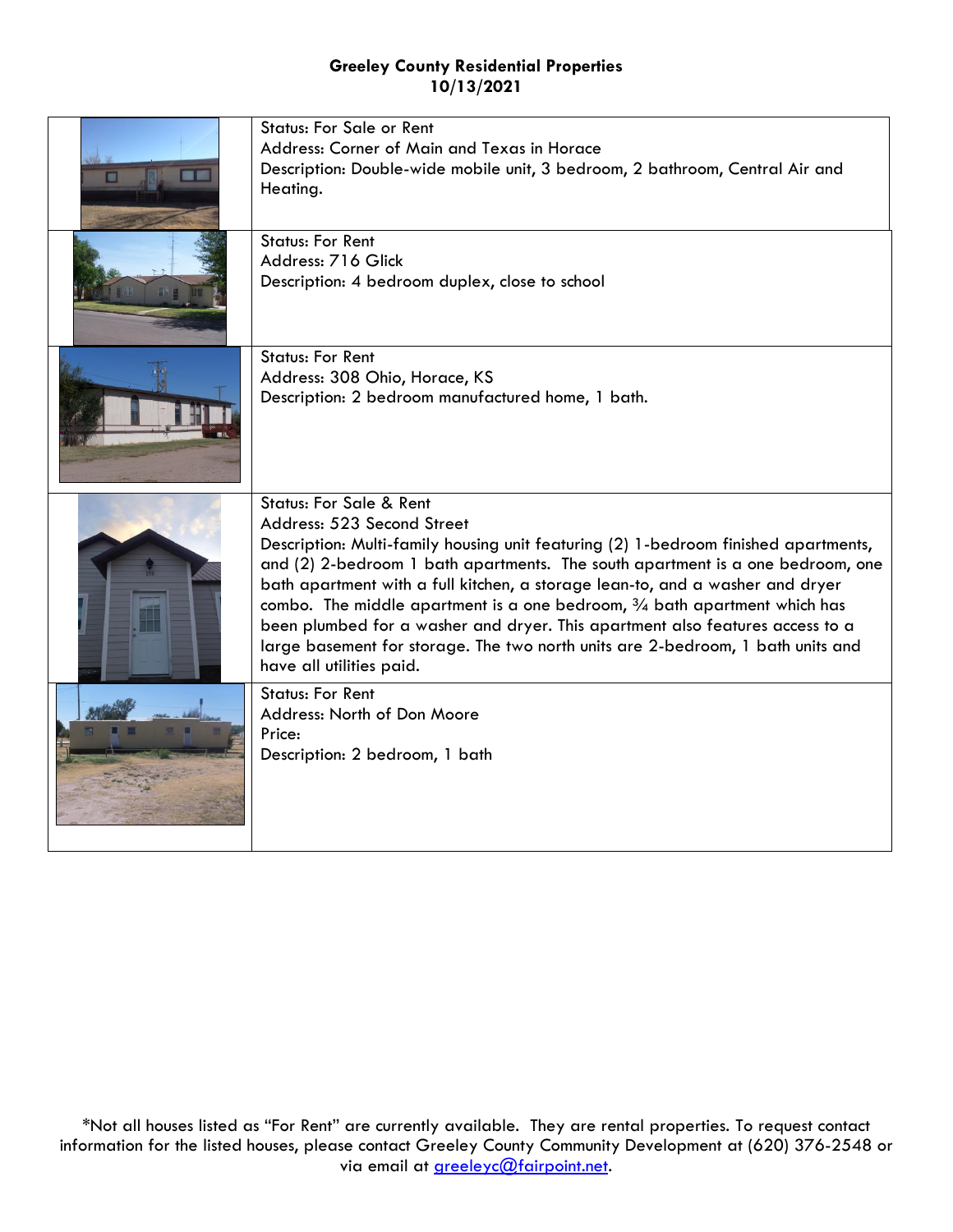| <b>Status: For Sale or Rent</b><br>Address: Corner of Main and Texas in Horace<br>Description: Double-wide mobile unit, 3 bedroom, 2 bathroom, Central Air and<br>Heating.                                                                                                                                                                                                                                                                                                                                                                                                                                         |
|--------------------------------------------------------------------------------------------------------------------------------------------------------------------------------------------------------------------------------------------------------------------------------------------------------------------------------------------------------------------------------------------------------------------------------------------------------------------------------------------------------------------------------------------------------------------------------------------------------------------|
| <b>Status: For Rent</b><br>Address: 716 Glick<br>Description: 4 bedroom duplex, close to school                                                                                                                                                                                                                                                                                                                                                                                                                                                                                                                    |
| <b>Status: For Rent</b><br>Address: 308 Ohio, Horace, KS<br>Description: 2 bedroom manufactured home, 1 bath.                                                                                                                                                                                                                                                                                                                                                                                                                                                                                                      |
| <b>Status: For Sale &amp; Rent</b><br>Address: 523 Second Street<br>Description: Multi-family housing unit featuring (2) 1-bedroom finished apartments,<br>and (2) 2-bedroom 1 bath apartments. The south apartment is a one bedroom, one<br>bath apartment with a full kitchen, a storage lean-to, and a washer and dryer<br>combo. The middle apartment is a one bedroom, $\frac{3}{4}$ bath apartment which has<br>been plumbed for a washer and dryer. This apartment also features access to a<br>large basement for storage. The two north units are 2-bedroom, 1 bath units and<br>have all utilities paid. |
| <b>Status: For Rent</b><br>Address: North of Don Moore<br>Price:<br>Description: 2 bedroom, 1 bath                                                                                                                                                                                                                                                                                                                                                                                                                                                                                                                 |